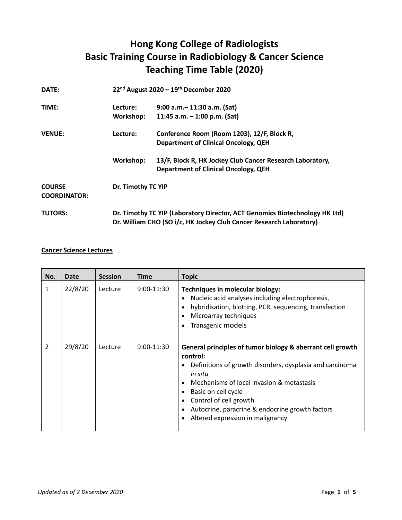## **Hong Kong College of Radiologists Basic Training Course in Radiobiology & Cancer Science Teaching Time Table (2020)**

| DATE:                                |           | 22 <sup>nd</sup> August 2020 - 19 <sup>th</sup> December 2020                                                                                      |  |  |
|--------------------------------------|-----------|----------------------------------------------------------------------------------------------------------------------------------------------------|--|--|
| TIME:                                | Lecture:  | $9:00$ a.m. $-11:30$ a.m. (Sat)                                                                                                                    |  |  |
|                                      | Workshop: | 11:45 a.m. $-$ 1:00 p.m. (Sat)                                                                                                                     |  |  |
| <b>VENUE:</b>                        | Lecture:  | Conference Room (Room 1203), 12/F, Block R,                                                                                                        |  |  |
|                                      |           | <b>Department of Clinical Oncology, QEH</b>                                                                                                        |  |  |
|                                      | Workshop: | 13/F, Block R, HK Jockey Club Cancer Research Laboratory,                                                                                          |  |  |
|                                      |           | <b>Department of Clinical Oncology, QEH</b>                                                                                                        |  |  |
| <b>COURSE</b><br><b>COORDINATOR:</b> |           | Dr. Timothy TC YIP                                                                                                                                 |  |  |
| <b>TUTORS:</b>                       |           | Dr. Timothy TC YIP (Laboratory Director, ACT Genomics Biotechnology HK Ltd)<br>Dr. William CHO (SO i/c, HK Jockey Club Cancer Research Laboratory) |  |  |

## **Cancer Science Lectures**

| No.            | <b>Date</b> | <b>Session</b> | <b>Time</b>  | <b>Topic</b>                                                                                                                                                                                                                                                                                                                       |
|----------------|-------------|----------------|--------------|------------------------------------------------------------------------------------------------------------------------------------------------------------------------------------------------------------------------------------------------------------------------------------------------------------------------------------|
| 1              | 22/8/20     | Lecture        | $9:00-11:30$ | Techniques in molecular biology:<br>Nucleic acid analyses including electrophoresis,<br>hybridisation, blotting, PCR, sequencing, transfection<br>Microarray techniques<br>Transgenic models                                                                                                                                       |
| $\overline{2}$ | 29/8/20     | Lecture        | $9:00-11:30$ | General principles of tumor biology & aberrant cell growth<br>control:<br>Definitions of growth disorders, dysplasia and carcinoma<br>in situ<br>Mechanisms of local invasion & metastasis<br>Basic on cell cycle<br>Control of cell growth<br>Autocrine, paracrine & endocrine growth factors<br>Altered expression in malignancy |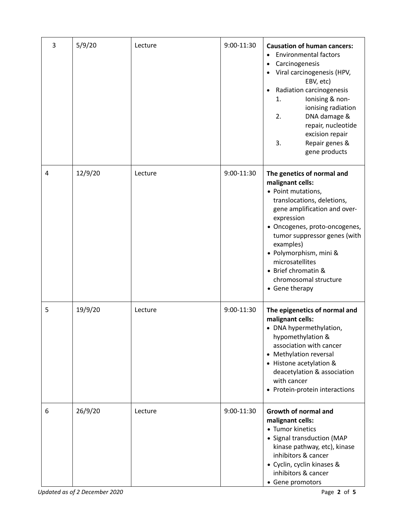| 3 | 5/9/20  | Lecture | 9:00-11:30 | <b>Causation of human cancers:</b><br><b>Environmental factors</b><br>$\bullet$<br>Carcinogenesis<br>٠<br>Viral carcinogenesis (HPV,<br>$\bullet$<br>EBV, etc)<br>Radiation carcinogenesis<br>$\bullet$<br>Ionising & non-<br>1.<br>ionising radiation<br>2.<br>DNA damage &<br>repair, nucleotide<br>excision repair<br>3.<br>Repair genes &<br>gene products |
|---|---------|---------|------------|----------------------------------------------------------------------------------------------------------------------------------------------------------------------------------------------------------------------------------------------------------------------------------------------------------------------------------------------------------------|
| 4 | 12/9/20 | Lecture | 9:00-11:30 | The genetics of normal and<br>malignant cells:<br>• Point mutations,<br>translocations, deletions,<br>gene amplification and over-<br>expression<br>· Oncogenes, proto-oncogenes,<br>tumor suppressor genes (with<br>examples)<br>· Polymorphism, mini &<br>microsatellites<br>• Brief chromatin &<br>chromosomal structure<br>• Gene therapy                  |
| 5 | 19/9/20 | Lecture | 9:00-11:30 | The epigenetics of normal and<br>malignant cells:<br>• DNA hypermethylation,<br>hypomethylation &<br>association with cancer<br>• Methylation reversal<br>• Histone acetylation &<br>deacetylation & association<br>with cancer<br>• Protein-protein interactions                                                                                              |
| 6 | 26/9/20 | Lecture | 9:00-11:30 | <b>Growth of normal and</b><br>malignant cells:<br>• Tumor kinetics<br>• Signal transduction (MAP<br>kinase pathway, etc), kinase<br>inhibitors & cancer<br>• Cyclin, cyclin kinases &<br>inhibitors & cancer<br>• Gene promotors                                                                                                                              |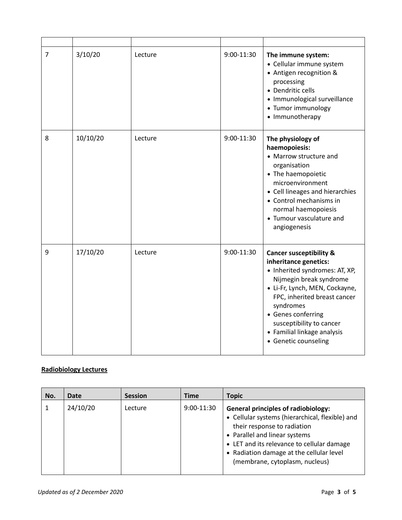| $\overline{7}$ | 3/10/20  | Lecture | 9:00-11:30 | The immune system:<br>• Cellular immune system<br>• Antigen recognition &<br>processing<br>• Dendritic cells<br>• Immunological surveillance<br>• Tumor immunology<br>• Immunotherapy                                                                                                                            |
|----------------|----------|---------|------------|------------------------------------------------------------------------------------------------------------------------------------------------------------------------------------------------------------------------------------------------------------------------------------------------------------------|
| 8              | 10/10/20 | Lecture | 9:00-11:30 | The physiology of<br>haemopoiesis:<br>• Marrow structure and<br>organisation<br>• The haemopoietic<br>microenvironment<br>• Cell lineages and hierarchies<br>• Control mechanisms in<br>normal haemopoiesis<br>• Tumour vasculature and<br>angiogenesis                                                          |
| 9              | 17/10/20 | Lecture | 9:00-11:30 | <b>Cancer susceptibility &amp;</b><br>inheritance genetics:<br>• Inherited syndromes: AT, XP,<br>Nijmegin break syndrome<br>· Li-Fr, Lynch, MEN, Cockayne,<br>FPC, inherited breast cancer<br>syndromes<br>• Genes conferring<br>susceptibility to cancer<br>• Familial linkage analysis<br>• Genetic counseling |

## **Radiobiology Lectures**

| No. | Date     | <b>Session</b> | <b>Time</b> | <b>Topic</b>                                                                                                                                                                                                                                                                              |
|-----|----------|----------------|-------------|-------------------------------------------------------------------------------------------------------------------------------------------------------------------------------------------------------------------------------------------------------------------------------------------|
|     | 24/10/20 | Lecture        | 9:00-11:30  | <b>General principles of radiobiology:</b><br>• Cellular systems (hierarchical, flexible) and<br>their response to radiation<br>• Parallel and linear systems<br>• LET and its relevance to cellular damage<br>• Radiation damage at the cellular level<br>(membrane, cytoplasm, nucleus) |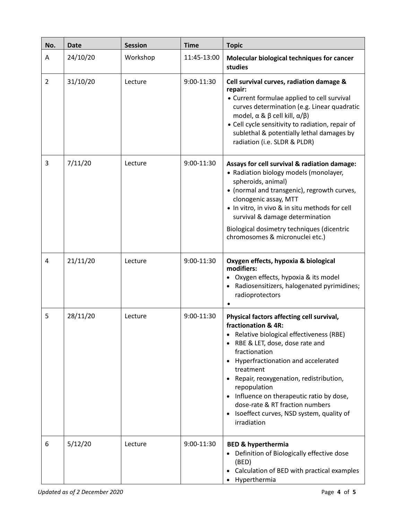| No. | <b>Date</b> | <b>Session</b> | <b>Time</b> | <b>Topic</b>                                                                                                                                                                                                                                                                                                                                                                                                           |
|-----|-------------|----------------|-------------|------------------------------------------------------------------------------------------------------------------------------------------------------------------------------------------------------------------------------------------------------------------------------------------------------------------------------------------------------------------------------------------------------------------------|
| A   | 24/10/20    | Workshop       | 11:45-13:00 | Molecular biological techniques for cancer<br>studies                                                                                                                                                                                                                                                                                                                                                                  |
| 2   | 31/10/20    | Lecture        | 9:00-11:30  | Cell survival curves, radiation damage &<br>repair:<br>• Current formulae applied to cell survival<br>curves determination (e.g. Linear quadratic<br>model, $\alpha$ & $\beta$ cell kill, $\alpha/\beta$ )<br>• Cell cycle sensitivity to radiation, repair of<br>sublethal & potentially lethal damages by<br>radiation (i.e. SLDR & PLDR)                                                                            |
| 3   | 7/11/20     | Lecture        | 9:00-11:30  | Assays for cell survival & radiation damage:<br>• Radiation biology models (monolayer,<br>spheroids, animal)<br>• (normal and transgenic), regrowth curves,<br>clonogenic assay, MTT<br>. In vitro, in vivo & in situ methods for cell<br>survival & damage determination<br>Biological dosimetry techniques (dicentric<br>chromosomes & micronuclei etc.)                                                             |
| 4   | 21/11/20    | Lecture        | 9:00-11:30  | Oxygen effects, hypoxia & biological<br>modifiers:<br>Oxygen effects, hypoxia & its model<br>Radiosensitizers, halogenated pyrimidines;<br>radioprotectors                                                                                                                                                                                                                                                             |
| 5   | 28/11/20    | Lecture        | 9:00-11:30  | Physical factors affecting cell survival,<br>fractionation & 4R:<br>Relative biological effectiveness (RBE)<br>RBE & LET, dose, dose rate and<br>fractionation<br>Hyperfractionation and accelerated<br>treatment<br>Repair, reoxygenation, redistribution,<br>repopulation<br>• Influence on therapeutic ratio by dose,<br>dose-rate & RT fraction numbers<br>Isoeffect curves, NSD system, quality of<br>irradiation |
| 6   | 5/12/20     | Lecture        | 9:00-11:30  | <b>BED &amp; hyperthermia</b><br>Definition of Biologically effective dose<br>(BED)<br>Calculation of BED with practical examples<br>Hyperthermia                                                                                                                                                                                                                                                                      |